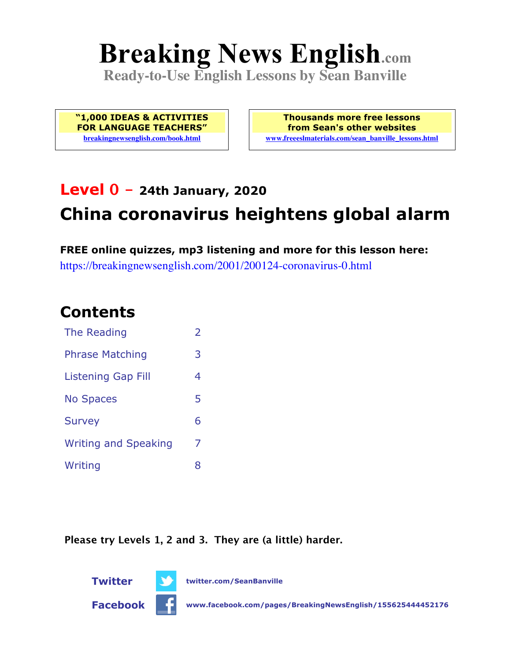# **Breaking News English.com**

**Ready-to-Use English Lessons by Sean Banville**

**"1,000 IDEAS & ACTIVITIES FOR LANGUAGE TEACHERS" breakingnewsenglish.com/book.html**

**Thousands more free lessons from Sean's other websites www.freeeslmaterials.com/sean\_banville\_lessons.html**

# **Level 0 - 24th January, 2020 China coronavirus heightens global alarm**

**FREE online quizzes, mp3 listening and more for this lesson here:** https://breakingnewsenglish.com/2001/200124-coronavirus-0.html

#### **Contents**

| The Reading                 | $\overline{2}$ |
|-----------------------------|----------------|
| <b>Phrase Matching</b>      | 3              |
| <b>Listening Gap Fill</b>   | 4              |
| <b>No Spaces</b>            | 5              |
| <b>Survey</b>               | 6              |
| <b>Writing and Speaking</b> | 7              |
| Writing                     | 8              |

**Please try Levels 1, 2 and 3. They are (a little) harder.**



**Twitter twitter.com/SeanBanville**

**Facebook www.facebook.com/pages/BreakingNewsEnglish/155625444452176**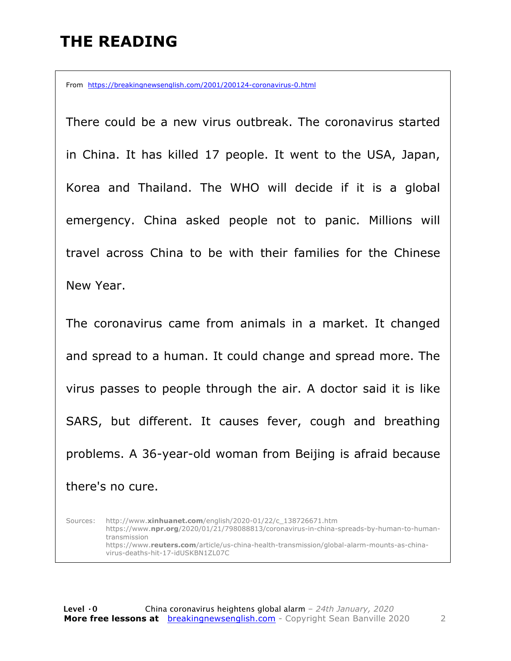#### **THE READING**

From https://breakingnewsenglish.com/2001/200124-coronavirus-0.html

There could be a new virus outbreak. The coronavirus started in China. It has killed 17 people. It went to the USA, Japan, Korea and Thailand. The WHO will decide if it is a global emergency. China asked people not to panic. Millions will travel across China to be with their families for the Chinese New Year.

The coronavirus came from animals in a market. It changed and spread to a human. It could change and spread more. The virus passes to people through the air. A doctor said it is like SARS, but different. It causes fever, cough and breathing problems. A 36-year-old woman from Beijing is afraid because there's no cure.

Sources: http://www.**xinhuanet.com**/english/2020-01/22/c\_138726671.htm https://www.**npr.org**/2020/01/21/798088813/coronavirus-in-china-spreads-by-human-to-humantransmission https://www.**reuters.com**/article/us-china-health-transmission/global-alarm-mounts-as-chinavirus-deaths-hit-17-idUSKBN1ZL07C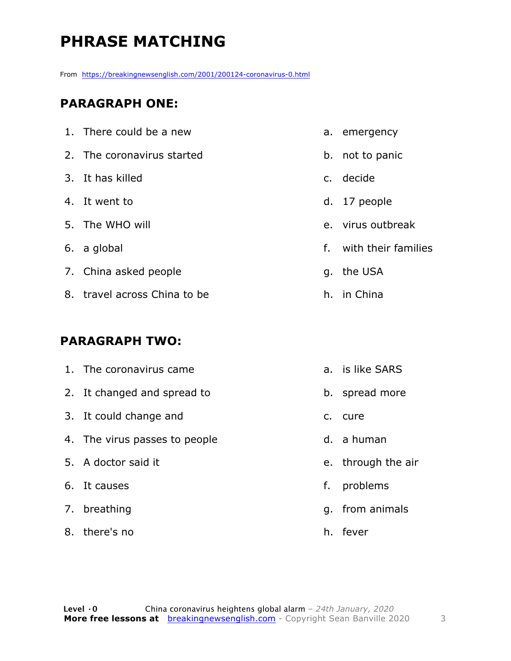## **PHRASE MATCHING**

From https://breakingnewsenglish.com/2001/200124-coronavirus-0.html

#### **PARAGRAPH ONE:**

| 1. There could be a new      | a. emergency           |
|------------------------------|------------------------|
| 2. The coronavirus started   | b. not to panic        |
| 3. It has killed             | c. decide              |
| 4. It went to                | d. 17 people           |
| 5. The WHO will              | e. virus outbreak      |
| 6. a global                  | f. with their families |
| 7. China asked people        | g. the USA             |
| 8. travel across China to be | h. in China            |
|                              |                        |

#### **PARAGRAPH TWO:**

| 1. The coronavirus came       |    | a. is like SARS    |
|-------------------------------|----|--------------------|
| 2. It changed and spread to   |    | b. spread more     |
| 3. It could change and        |    | c. cure            |
| 4. The virus passes to people |    | d. a human         |
| 5. A doctor said it           |    | e. through the air |
| 6. It causes                  | f. | problems           |
| 7. breathing                  |    | g. from animals    |
| 8. there's no                 |    | h. fever           |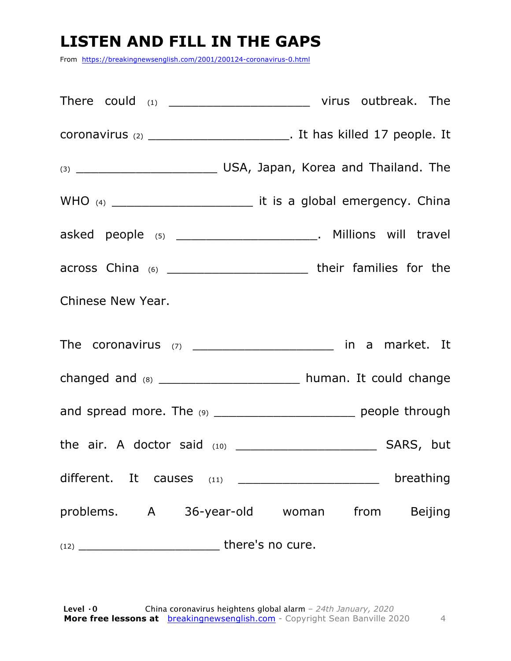## **LISTEN AND FILL IN THE GAPS**

From https://breakingnewsenglish.com/2001/200124-coronavirus-0.html

|                               | asked people (5) _________________________. Millions will travel        |
|-------------------------------|-------------------------------------------------------------------------|
|                               | across China (6) _______________________________ their families for the |
| Chinese New Year.             |                                                                         |
|                               | The coronavirus (7) ________________________ in a market. It            |
|                               | changed and (8) ________________________ human. It could change         |
|                               | and spread more. The (9) ________________________ people through        |
|                               |                                                                         |
| different. It causes<br>(11)  | breathing                                                               |
| problems. A 36-year-old woman | from Beijing                                                            |
|                               |                                                                         |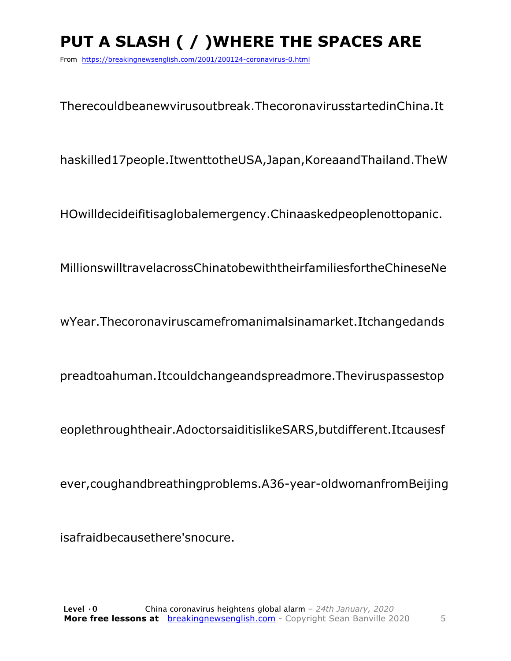# **PUT A SLASH ( / )WHERE THE SPACES ARE**

From https://breakingnewsenglish.com/2001/200124-coronavirus-0.html

Therecouldbeanewvirusoutbreak.ThecoronavirusstartedinChina.It

haskilled17people.ItwenttotheUSA,Japan,KoreaandThailand.TheW

HOwilldecideifitisaglobalemergency.Chinaaskedpeoplenottopanic.

MillionswilltravelacrossChinatobewiththeirfamiliesfortheChineseNe

wYear.Thecoronaviruscamefromanimalsinamarket.Itchangedands

preadtoahuman.Itcouldchangeandspreadmore.Theviruspassestop

eoplethroughtheair.AdoctorsaiditislikeSARS,butdifferent.Itcausesf

ever,coughandbreathingproblems.A36-year-oldwomanfromBeijing

isafraidbecausethere'snocure.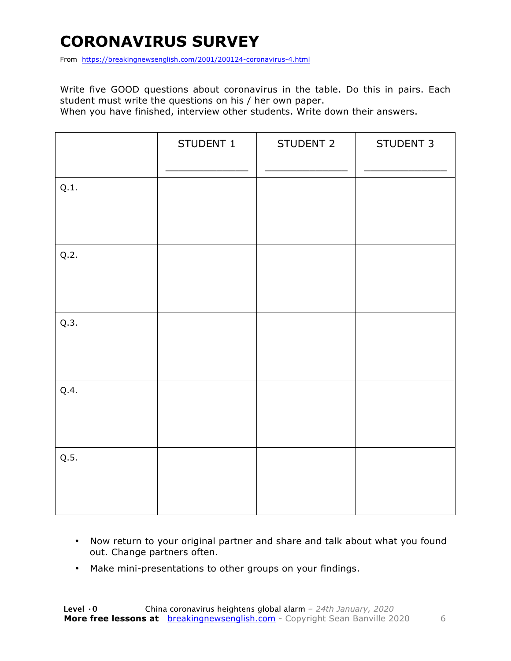## **CORONAVIRUS SURVEY**

From https://breakingnewsenglish.com/2001/200124-coronavirus-4.html

Write five GOOD questions about coronavirus in the table. Do this in pairs. Each student must write the questions on his / her own paper.

When you have finished, interview other students. Write down their answers.

|      | STUDENT 1 | STUDENT 2 | STUDENT 3 |
|------|-----------|-----------|-----------|
| Q.1. |           |           |           |
| Q.2. |           |           |           |
| Q.3. |           |           |           |
| Q.4. |           |           |           |
| Q.5. |           |           |           |

- Now return to your original partner and share and talk about what you found out. Change partners often.
- Make mini-presentations to other groups on your findings.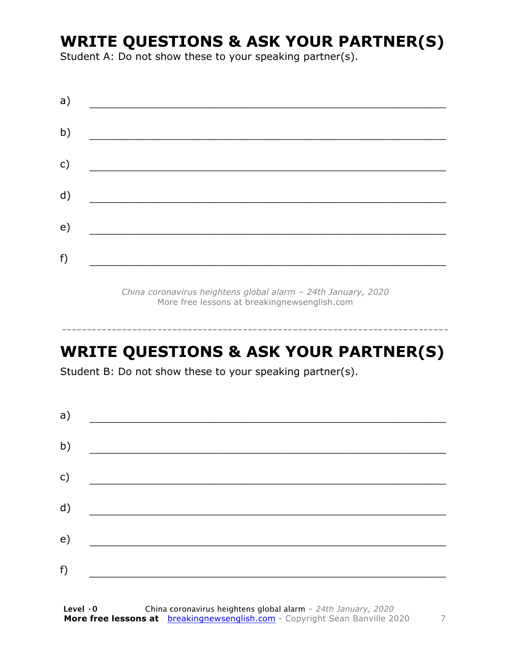#### **WRITE QUESTIONS & ASK YOUR PARTNER(S)**

Student A: Do not show these to your speaking partner(s).

| a) |  |  |
|----|--|--|
| b) |  |  |
| c) |  |  |
| d) |  |  |
| e) |  |  |
| f) |  |  |
|    |  |  |

*China coronavirus heightens global alarm – 24th January, 2020* More free lessons at breakingnewsenglish.com

### **WRITE QUESTIONS & ASK YOUR PARTNER(S)**

-----------------------------------------------------------------------------

Student B: Do not show these to your speaking partner(s).

| a) |  |  |
|----|--|--|
| b) |  |  |
| c) |  |  |
| d) |  |  |
| e) |  |  |
| f) |  |  |
|    |  |  |